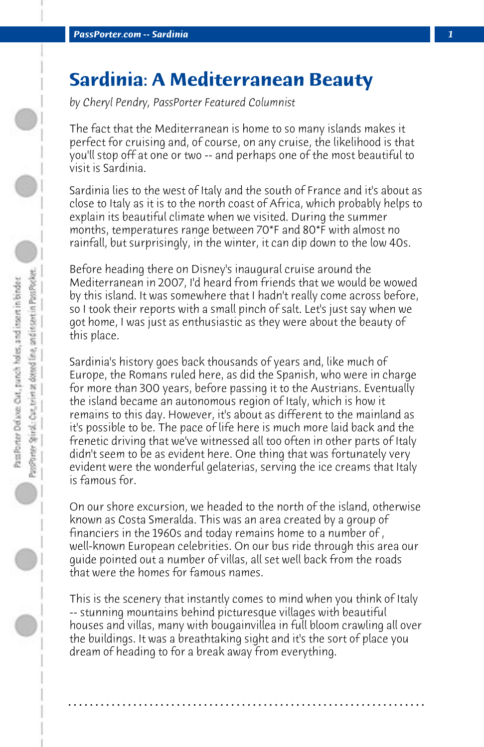## **Sardinia: A Mediterranean Beauty**

*by Cheryl Pendry, PassPorter Featured Columnist*

The fact that the Mediterranean is home to so many islands makes it perfect for cruising and, of course, on any cruise, the likelihood is that you'll stop off at one or two -- and perhaps one of the most beautiful to visit is Sardinia.

Sardinia lies to the west of Italy and the south of France and it's about as close to Italy as it is to the north coast of Africa, which probably helps to explain its beautiful climate when we visited. During the summer months, temperatures range between 70\*F and 80\*F with almost no rainfall, but surprisingly, in the winter, it can dip down to the low 40s.

Before heading there on Disney's inaugural cruise around the Mediterranean in 2007, I'd heard from friends that we would be wowed by this island. It was somewhere that I hadn't really come across before, so I took their reports with a small pinch of salt. Let's just say when we got home, I was just as enthusiastic as they were about the beauty of this place.

Sardinia's history goes back thousands of years and, like much of Europe, the Romans ruled here, as did the Spanish, who were in charge for more than 300 years, before passing it to the Austrians. Eventually the island became an autonomous region of Italy, which is how it remains to this day. However, it's about as different to the mainland as it's possible to be. The pace of life here is much more laid back and the frenetic driving that we've witnessed all too often in other parts of Italy didn't seem to be as evident here. One thing that was fortunately very evident were the wonderful gelaterias, serving the ice creams that Italy is famous for.

On our shore excursion, we headed to the north of the island, otherwise known as Costa Smeralda. This was an area created by a group of financiers in the 1960s and today remains home to a number of , well-known European celebrities. On our bus ride through this area our guide pointed out a number of villas, all set well back from the roads that were the homes for famous names.

This is the scenery that instantly comes to mind when you think of Italy -- stunning mountains behind picturesque villages with beautiful houses and villas, many with bougainvillea in full bloom crawling all over the buildings. It was a breathtaking sight and it's the sort of place you dream of heading to for a break away from everything.

**. . . . . . . . . . . . . . . . . . . . . . . . . . . . . . . . . . . . . . . . . . . . . . . . . . . . . . . . . . . . . . . . . .**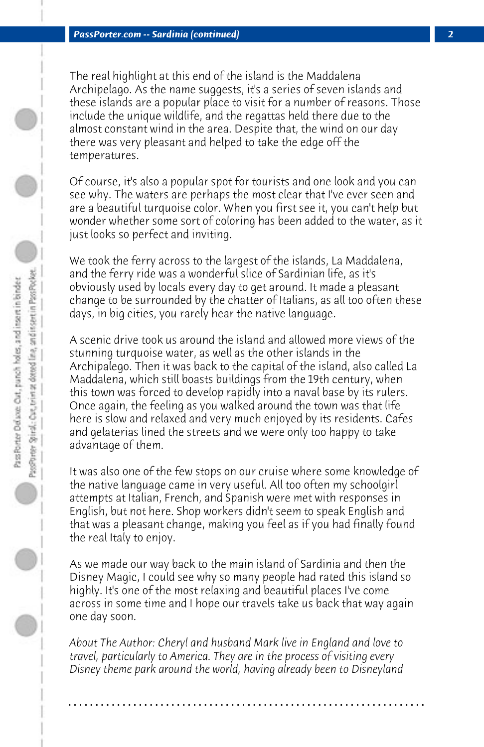The real highlight at this end of the island is the Maddalena Archipelago. As the name suggests, it's a series of seven islands and these islands are a popular place to visit for a number of reasons. Those include the unique wildlife, and the regattas held there due to the almost constant wind in the area. Despite that, the wind on our day there was very pleasant and helped to take the edge off the temperatures.

Of course, it's also a popular spot for tourists and one look and you can see why. The waters are perhaps the most clear that I've ever seen and are a beautiful turquoise color. When you first see it, you can't help but wonder whether some sort of coloring has been added to the water, as it just looks so perfect and inviting.

We took the ferry across to the largest of the islands, La Maddalena, and the ferry ride was a wonderful slice of Sardinian life, as it's obviously used by locals every day to get around. It made a pleasant change to be surrounded by the chatter of Italians, as all too often these days, in big cities, you rarely hear the native language.

A scenic drive took us around the island and allowed more views of the stunning turquoise water, as well as the other islands in the Archipalego. Then it was back to the capital of the island, also called La Maddalena, which still boasts buildings from the 19th century, when this town was forced to develop rapidly into a naval base by its rulers. Once again, the feeling as you walked around the town was that life here is slow and relaxed and very much enjoyed by its residents. Cafes and gelaterias lined the streets and we were only too happy to take advantage of them.

It was also one of the few stops on our cruise where some knowledge of the native language came in very useful. All too often my schoolgirl attempts at Italian, French, and Spanish were met with responses in English, but not here. Shop workers didn't seem to speak English and that was a pleasant change, making you feel as if you had finally found the real Italy to enjoy.

As we made our way back to the main island of Sardinia and then the Disney Magic, I could see why so many people had rated this island so highly. It's one of the most relaxing and beautiful places I've come across in some time and I hope our travels take us back that way again one day soon.

*About The Author: Cheryl and husband Mark live in England and love to travel, particularly to America. They are in the process of visiting every Disney theme park around the world, having already been to Disneyland*

**. . . . . . . . . . . . . . . . . . . . . . . . . . . . . . . . . . . . . . . . . . . . . . . . . . . . . . . . . . . . . . . . . .**